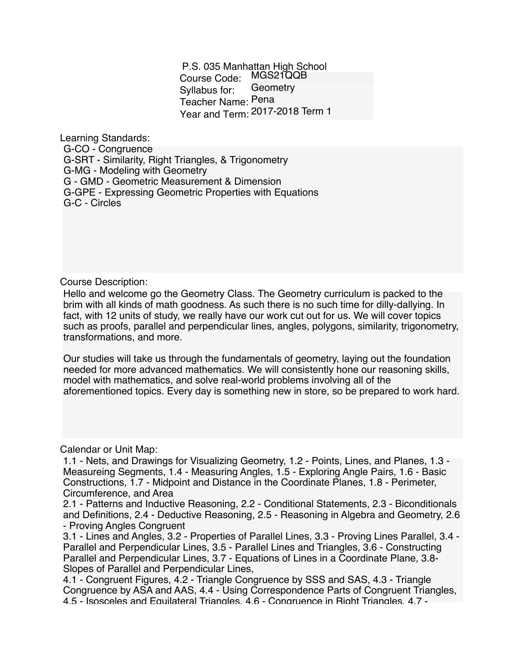P.S. 035 Manhattan High School Course Code: MGS21QQB Syllabus for: Teacher Name: Pena Year and Term: 2017-2018 Term 1 **Geometry** 

Learning Standards:

G-CO - Congruence G-SRT - Similarity, Right Triangles, & Trigonometry G-MG - Modeling with Geometry G - GMD - Geometric Measurement & Dimension G-GPE - Expressing Geometric Properties with Equations G-C - Circles

Course Description:

Hello and welcome go the Geometry Class. The Geometry curriculum is packed to the brim with all kinds of math goodness. As such there is no such time for dilly-dallying. In fact, with 12 units of study, we really have our work cut out for us. We will cover topics such as proofs, parallel and perpendicular lines, angles, polygons, similarity, trigonometry, transformations, and more.

Our studies will take us through the fundamentals of geometry, laying out the foundation needed for more advanced mathematics. We will consistently hone our reasoning skills, model with mathematics, and solve real-world problems involving all of the aforementioned topics. Every day is something new in store, so be prepared to work hard.

Calendar or Unit Map:

1.1 - Nets, and Drawings for Visualizing Geometry, 1.2 - Points, Lines, and Planes, 1.3 - Measureing Segments, 1.4 - Measuring Angles, 1.5 - Exploring Angle Pairs, 1.6 - Basic Constructions, 1.7 - Midpoint and Distance in the Coordinate Planes, 1.8 - Perimeter, Circumference, and Area

2.1 - Patterns and Inductive Reasoning, 2.2 - Conditional Statements, 2.3 - Biconditionals and Definitions, 2.4 - Deductive Reasoning, 2.5 - Reasoning in Algebra and Geometry, 2.6 - Proving Angles Congruent

3.1 - Lines and Angles, 3.2 - Properties of Parallel Lines, 3.3 - Proving Lines Parallel, 3.4 - Parallel and Perpendicular Lines, 3.5 - Parallel Lines and Triangles, 3.6 - Constructing Parallel and Perpendicular Lines, 3.7 - Equations of Lines in a Coordinate Plane, 3.8- Slopes of Parallel and Perpendicular Lines,

4.1 - Congruent Figures, 4.2 - Triangle Congruence by SSS and SAS, 4.3 - Triangle Congruence by ASA and AAS, 4.4 - Using Correspondence Parts of Congruent Triangles, 4.5 - Isosceles and Equilateral Triangles, 4.6 - Congruence in Right Triangles, 4.7 -